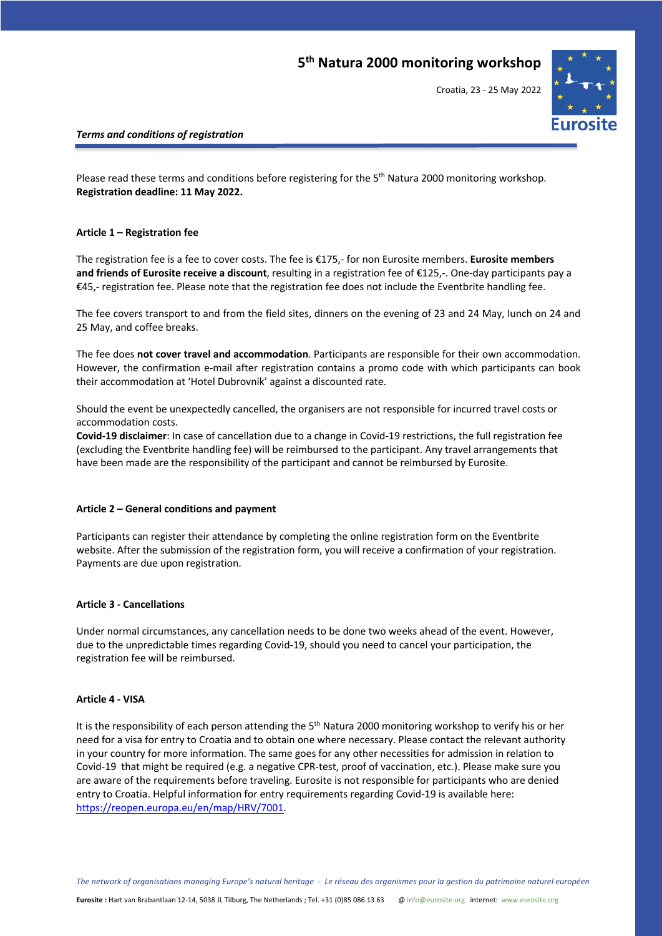### **5th Natura 2000 monitoring workshop**

Croatia, 23 - 25 May 2022



### *Terms and conditions of registration*

Please read these terms and conditions before registering for the 5<sup>th</sup> Natura 2000 monitoring workshop. **Registration deadline: 11 May 2022.**

### **Article 1 – Registration fee**

The registration fee is a fee to cover costs. The fee is €175,- for non Eurosite members. **Eurosite members and friends of Eurosite receive a discount**, resulting in a registration fee of €125,-. One-day participants pay a €45,- registration fee. Please note that the registration fee does not include the Eventbrite handling fee.

The fee covers transport to and from the field sites, dinners on the evening of 23 and 24 May, lunch on 24 and 25 May, and coffee breaks.

The fee does **not cover travel and accommodation**. Participants are responsible for their own accommodation. However, the confirmation e-mail after registration contains a promo code with which participants can book their accommodation at 'Hotel Dubrovnik' against a discounted rate.

Should the event be unexpectedly cancelled, the organisers are not responsible for incurred travel costs or accommodation costs.

**Covid-19 disclaimer**: In case of cancellation due to a change in Covid-19 restrictions, the full registration fee (excluding the Eventbrite handling fee) will be reimbursed to the participant. Any travel arrangements that have been made are the responsibility of the participant and cannot be reimbursed by Eurosite.

### **Article 2 – General conditions and payment**

Participants can register their attendance by completing the online registration form on the Eventbrite website. After the submission of the registration form, you will receive a confirmation of your registration. Payments are due upon registration.

### **Article 3 - Cancellations**

Under normal circumstances, any cancellation needs to be done two weeks ahead of the event. However, due to the unpredictable times regarding Covid-19, should you need to cancel your participation, the registration fee will be reimbursed.

### **Article 4 - VISA**

It is the responsibility of each person attending the 5<sup>th</sup> Natura 2000 monitoring workshop to verify his or her need for a visa for entry to Croatia and to obtain one where necessary. Please contact the relevant authority in your country for more information. The same goes for any other necessities for admission in relation to Covid-19 that might be required (e.g. a negative CPR-test, proof of vaccination, etc.). Please make sure you are aware of the requirements before traveling. Eurosite is not responsible for participants who are denied entry to Croatia. Helpful information for entry requirements regarding Covid-19 is available here: https://reopen.europa.eu/en/map/HRV/7001.

*The network of organisations managing Europe's natural heritage - Le réseau des organismes pour la gestion du patrimoine naturel européen*